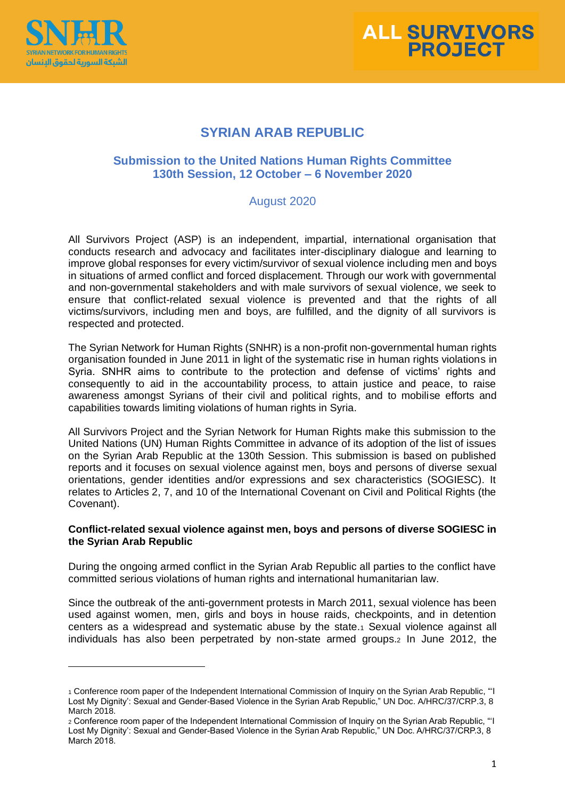



# **SYRIAN ARAB REPUBLIC**

## **Submission to the United Nations Human Rights Committee 130th Session, 12 October – 6 November 2020**

### August 2020

All Survivors Project (ASP) is an independent, impartial, international organisation that conducts research and advocacy and facilitates inter-disciplinary dialogue and learning to improve global responses for every victim/survivor of sexual violence including men and boys in situations of armed conflict and forced displacement. Through our work with governmental and non-governmental stakeholders and with male survivors of sexual violence, we seek to ensure that conflict-related sexual violence is prevented and that the rights of all victims/survivors, including men and boys, are fulfilled, and the dignity of all survivors is respected and protected.

The Syrian Network for Human Rights (SNHR) is a non-profit non-governmental human rights organisation founded in June 2011 in light of the systematic rise in human rights violations in Syria. SNHR aims to contribute to the protection and defense of victims' rights and consequently to aid in the accountability process, to attain justice and peace, to raise awareness amongst Syrians of their civil and political rights, and to mobilise efforts and capabilities towards limiting violations of human rights in Syria.

All Survivors Project and the Syrian Network for Human Rights make this submission to the United Nations (UN) Human Rights Committee in advance of its adoption of the list of issues on the Syrian Arab Republic at the 130th Session. This submission is based on published reports and it focuses on sexual violence against men, boys and persons of diverse sexual orientations, gender identities and/or expressions and sex characteristics (SOGIESC). It relates to Articles 2, 7, and 10 of the International Covenant on Civil and Political Rights (the Covenant).

#### **Conflict-related sexual violence against men, boys and persons of diverse SOGIESC in the Syrian Arab Republic**

During the ongoing armed conflict in the Syrian Arab Republic all parties to the conflict have committed serious violations of human rights and international humanitarian law.

Since the outbreak of the anti-government protests in March 2011, sexual violence has been used against women, men, girls and boys in house raids, checkpoints, and in detention centers as a widespread and systematic abuse by the state.<sup>1</sup> Sexual violence against all individuals has also been perpetrated by non-state armed groups.<sup>2</sup> In June 2012, the

<sup>1</sup> Conference room paper of the Independent International Commission of Inquiry on the Syrian Arab Republic, "'I Lost My Dignity': Sexual and Gender-Based Violence in the Syrian Arab Republic," UN Doc. A/HRC/37/CRP.3, 8 March 2018.

<sup>2</sup> Conference room paper of the Independent International Commission of Inquiry on the Syrian Arab Republic, "'I Lost My Dignity': Sexual and Gender-Based Violence in the Syrian Arab Republic," UN Doc. A/HRC/37/CRP.3, 8 March 2018.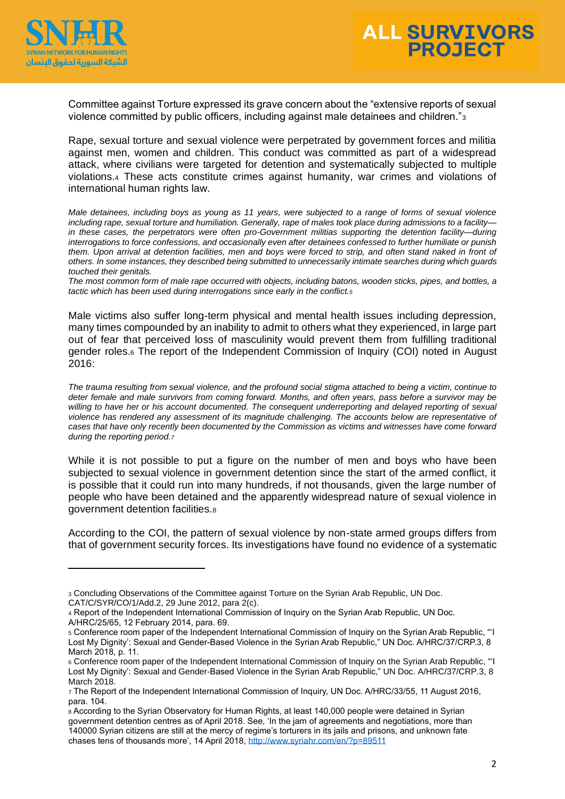



Committee against Torture expressed its grave concern about the "extensive reports of sexual violence committed by public officers, including against male detainees and children."<sup>3</sup>

Rape, sexual torture and sexual violence were perpetrated by government forces and militia against men, women and children. This conduct was committed as part of a widespread attack, where civilians were targeted for detention and systematically subjected to multiple violations.<sup>4</sup> These acts constitute crimes against humanity, war crimes and violations of international human rights law.

*Male detainees, including boys as young as 11 years, were subjected to a range of forms of sexual violence including rape, sexual torture and humiliation. Generally, rape of males took place during admissions to a facility* in these cases, the perpetrators were often pro-Government militias supporting the detention facility—during *interrogations to force confessions, and occasionally even after detainees confessed to further humiliate or punish*  them. Upon arrival at detention facilities, men and boys were forced to strip, and often stand naked in front of *others. In some instances, they described being submitted to unnecessarily intimate searches during which guards touched their genitals.*

*The most common form of male rape occurred with objects, including batons, wooden sticks, pipes, and bottles, a tactic which has been used during interrogations since early in the conflict.<sup>5</sup>*

Male victims also suffer long-term physical and mental health issues including depression, many times compounded by an inability to admit to others what they experienced, in large part out of fear that perceived loss of masculinity would prevent them from fulfilling traditional gender roles.<sup>6</sup> The report of the Independent Commission of Inquiry (COI) noted in August 2016:

*The trauma resulting from sexual violence, and the profound social stigma attached to being a victim, continue to deter female and male survivors from coming forward. Months, and often years, pass before a survivor may be*  willing to have her or his account documented. The consequent underreporting and delayed reporting of sexual *violence has rendered any assessment of its magnitude challenging. The accounts below are representative of cases that have only recently been documented by the Commission as victims and witnesses have come forward during the reporting period.<sup>7</sup>*

While it is not possible to put a figure on the number of men and boys who have been subjected to sexual violence in government detention since the start of the armed conflict, it is possible that it could run into many hundreds, if not thousands, given the large number of people who have been detained and the apparently widespread nature of sexual violence in government detention facilities.<sup>8</sup>

According to the COI, the pattern of sexual violence by non-state armed groups differs from that of government security forces. Its investigations have found no evidence of a systematic

<sup>3</sup> Concluding Observations of the Committee against Torture on the Syrian Arab Republic, UN Doc.

CAT/C/SYR/CO/1/Add.2, 29 June 2012, para 2(c).

<sup>4</sup> Report of the Independent International Commission of Inquiry on the Syrian Arab Republic, UN Doc. A/HRC/25/65, 12 February 2014, para. 69.

<sup>5</sup> Conference room paper of the Independent International Commission of Inquiry on the Syrian Arab Republic, "'I Lost My Dignity': Sexual and Gender-Based Violence in the Syrian Arab Republic," UN Doc. A/HRC/37/CRP.3, 8 March 2018, p. 11.

<sup>6</sup> Conference room paper of the Independent International Commission of Inquiry on the Syrian Arab Republic, "'I Lost My Dignity': Sexual and Gender-Based Violence in the Syrian Arab Republic," UN Doc. A/HRC/37/CRP.3, 8 March 2018.

<sup>7</sup> The Report of the Independent International Commission of Inquiry, UN Doc. A/HRC/33/55, 11 August 2016, para. 104.

<sup>8</sup> According to the Syrian Observatory for Human Rights, at least 140,000 people were detained in Syrian government detention centres as of April 2018. See, 'In the jam of agreements and negotiations, more than 140000 Syrian citizens are still at the mercy of regime's torturers in its jails and prisons, and unknown fate chases tens of thousands more', 14 April 2018[, http://www.syriahr.com/en/?p=89511](http://www.syriahr.com/en/?p=89511)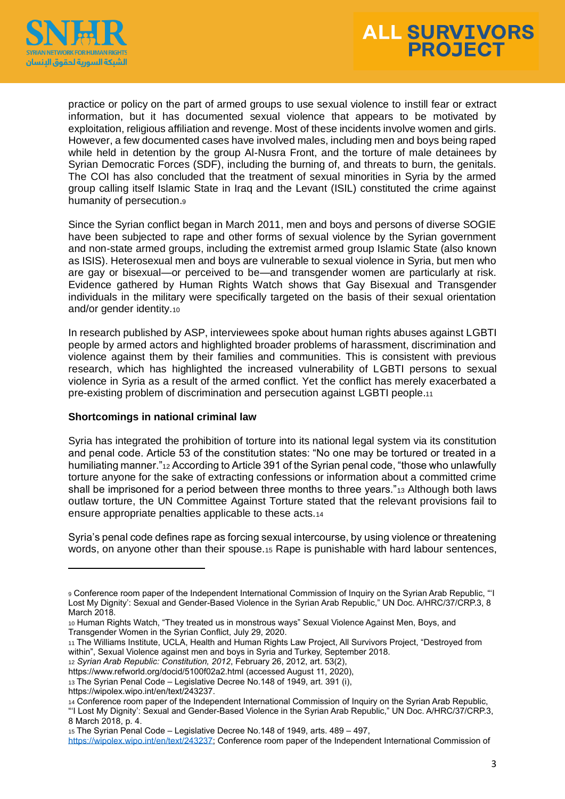



practice or policy on the part of armed groups to use sexual violence to instill fear or extract information, but it has documented sexual violence that appears to be motivated by exploitation, religious affiliation and revenge. Most of these incidents involve women and girls. However, a few documented cases have involved males, including men and boys being raped while held in detention by the group Al-Nusra Front, and the torture of male detainees by Syrian Democratic Forces (SDF), including the burning of, and threats to burn, the genitals. The COI has also concluded that the treatment of sexual minorities in Syria by the armed group calling itself Islamic State in Iraq and the Levant (ISIL) constituted the crime against humanity of persecution.<sup>9</sup>

Since the Syrian conflict began in March 2011, men and boys and persons of diverse SOGIE have been subjected to rape and other forms of sexual violence by the Syrian government and non-state armed groups, including the extremist armed group Islamic State (also known as ISIS). Heterosexual men and boys are vulnerable to sexual violence in Syria, but men who are gay or bisexual—or perceived to be—and transgender women are particularly at risk. Evidence gathered by Human Rights Watch shows that Gay Bisexual and Transgender individuals in the military were specifically targeted on the basis of their sexual orientation and/or gender identity.<sup>10</sup>

In research published by ASP, interviewees spoke about human rights abuses against LGBTI people by armed actors and highlighted broader problems of harassment, discrimination and violence against them by their families and communities. This is consistent with previous research, which has highlighted the increased vulnerability of LGBTI persons to sexual violence in Syria as a result of the armed conflict. Yet the conflict has merely exacerbated a pre-existing problem of discrimination and persecution against LGBTI people.<sup>11</sup>

#### **Shortcomings in national criminal law**

Syria has integrated the prohibition of torture into its national legal system via its constitution and penal code. Article 53 of the constitution states: "No one may be tortured or treated in a humiliating manner."<sup>12</sup> According to Article 391 of the Syrian penal code, "those who unlawfully torture anyone for the sake of extracting confessions or information about a committed crime shall be imprisoned for a period between three months to three years."<sup>13</sup> Although both laws outlaw torture, the UN Committee Against Torture stated that the relevant provisions fail to ensure appropriate penalties applicable to these acts.<sup>14</sup>

Syria's penal code defines rape as forcing sexual intercourse, by using violence or threatening words, on anyone other than their spouse.<sup>15</sup> Rape is punishable with hard labour sentences,

<sup>9</sup> Conference room paper of the Independent International Commission of Inquiry on the Syrian Arab Republic, "'I Lost My Dignity': Sexual and Gender-Based Violence in the Syrian Arab Republic," UN Doc. A/HRC/37/CRP.3, 8 March 2018.

<sup>10</sup> Human Rights Watch, "They treated us in monstrous ways" Sexual Violence Against Men, Boys, and Transgender Women in the Syrian Conflict, July 29, 2020.

<sup>11</sup> The Williams Institute, UCLA, Health and Human Rights Law Project, All Survivors Project, "Destroyed from within", Sexual Violence against men and boys in Syria and Turkey, September 2018.

<sup>12</sup> *Syrian Arab Republic: Constitution, 2012*, February 26, 2012, art. 53(2),

https://www.refworld.org/docid/5100f02a2.html (accessed August 11, 2020),

<sup>13</sup> The Syrian Penal Code – Legislative Decree No.148 of 1949, art. 391 (i),

https://wipolex.wipo.int/en/text/243237.

<sup>14</sup> Conference room paper of the Independent International Commission of Inquiry on the Syrian Arab Republic, "'I Lost My Dignity': Sexual and Gender-Based Violence in the Syrian Arab Republic," UN Doc. A/HRC/37/CRP.3,

<sup>8</sup> March 2018, p. 4.

<sup>15</sup> The Syrian Penal Code – Legislative Decree No.148 of 1949, arts. 489 – 497,

[https://wipolex.wipo.int/en/text/243237;](https://wipolex.wipo.int/en/text/243237) Conference room paper of the Independent International Commission of